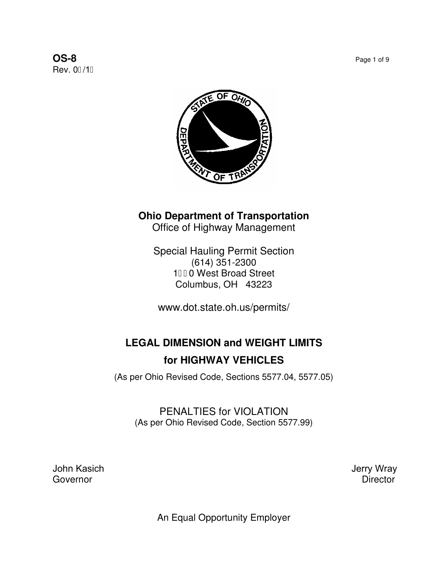**OS-8** Page 1 of 9 **Rev. 0G11** 



## **Ohio Department of Transportation**

Office of Highway Management

Special Hauling Permit Section (614) 351-2300 10 West Broad Street Columbus, OH 43223

www.dot.state.oh.us/permits/

# **LEGAL DIMENSION and WEIGHT LIMITS for HIGHWAY VEHICLES**

(As per Ohio Revised Code, Sections 5577.04, 5577.05)

PENALTIES for VIOLATION (As per Ohio Revised Code, Section 5577.99)

John Kasich III and the University of the University of the University of the University of Terry Wray<br>Governor III and the University of Terry Wray Governor **Director** 

An Equal Opportunity Employer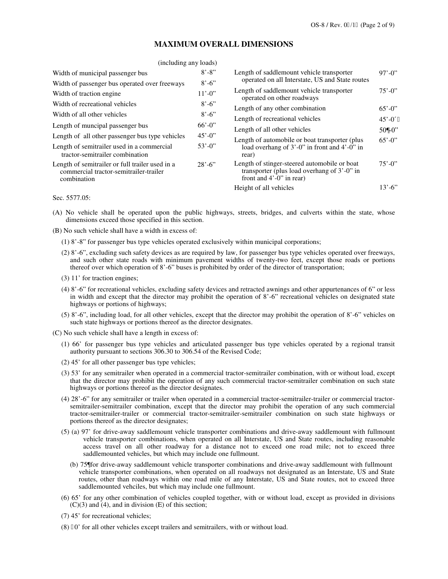#### **MAXIMUM OVERALL DIMENSIONS**

| (including any loads)                                                                                    |             |                                                                                                                                   |                           |
|----------------------------------------------------------------------------------------------------------|-------------|-----------------------------------------------------------------------------------------------------------------------------------|---------------------------|
| Width of municipal passenger bus                                                                         | $8' - 8''$  | Length of saddlemount vehicle transporter<br>operated on all Interstate, US and State routes                                      | $97' - 0''$               |
| Width of passenger bus operated over freeways                                                            | $8' - 6'$   |                                                                                                                                   |                           |
| Width of traction engine                                                                                 | $11' - 0$ " | Length of saddlemount vehicle transporter<br>operated on other roadways                                                           | $75' - 0''$               |
| Width of recreational vehicles                                                                           | $8' - 6'$   | Length of any other combination                                                                                                   | $65' - 0$<br>$45' - 00''$ |
| Width of all other vehicles                                                                              | $8' - 6'$   |                                                                                                                                   |                           |
|                                                                                                          | $66' - 0$   | Length of recreational vehicles                                                                                                   |                           |
| Length of muncipal passenger bus                                                                         |             | Length of all other vehicles                                                                                                      | $50\&0$                   |
| Length of all other passenger bus type vehicles                                                          | $45' - 0$   | Length of automobile or boat transporter (plus                                                                                    | $65' - 0$ "               |
| Length of semitrailer used in a commercial<br>tractor-semitrailer combination                            | $53' - 0$   | load overhang of $3'$ -0" in front and $4'$ -0" in<br>rear)                                                                       |                           |
| Length of semitrailer or full trailer used in a<br>commercial tractor-semitrailer-trailer<br>combination | $28' - 6'$  | Length of stinger-steered automobile or boat<br>transporter (plus load overhang of 3'-0" in<br>front and $4^{\circ}$ -0" in rear) | $75' - 0''$               |
|                                                                                                          |             | Height of all vehicles                                                                                                            | $13' - 6'$                |
|                                                                                                          |             |                                                                                                                                   |                           |

Sec. 5577.05:

- (A) No vehicle shall be operated upon the public highways, streets, bridges, and culverts within the state, whose dimensions exceed those specified in this section.
- (B) No such vehicle shall have a width in excess of:
	- (1) 8'-8" for passenger bus type vehicles operated exclusively within municipal corporations;
	- (2) 8'-6", excluding such safety devices as are required by law, for passenger bus type vehicles operated over freeways, and such other state roads with minimum pavement widths of twenty-two feet, except those roads or portions thereof over which operation of 8'-6" buses is prohibited by order of the director of transportation;
	- (3) 11' for traction engines;
	- (4) 8'-6" for recreational vehicles, excluding safety devices and retracted awnings and other appurtenances of 6" or less in width and except that the director may prohibit the operation of 8'-6" recreational vehicles on designated state highways or portions of highways;
	- (5) 8'-6", including load, for all other vehicles, except that the director may prohibit the operation of 8'-6" vehicles on such state highways or portions thereof as the director designates.
- (C) No such vehicle shall have a length in excess of:
	- (1) 66' for passenger bus type vehicles and articulated passenger bus type vehicles operated by a regional transit authority pursuant to sections 306.30 to 306.54 of the Revised Code;
	- (2) 45' for all other passenger bus type vehicles;
	- (3) 53' for any semitrailer when operated in a commercial tractor-semitrailer combination, with or without load, except that the director may prohibit the operation of any such commercial tractor-semitrailer combination on such state highways or portions thereof as the director designates.
	- (4) 28'-6" for any semitrailer or trailer when operated in a commercial tractor-semitrailer-trailer or commercial tractorsemitrailer-semitrailer combination, except that the director may prohibit the operation of any such commercial tractor-semitrailer-trailer or commercial tractor-semitrailer-semitrailer combination on such state highways or portions thereof as the director designates;
	- (5) (a) 97' for drive-away saddlemount vehicle transporter combinations and drive-away saddlemount with fullmount vehicle transporter combinations, when operated on all Interstate, US and State routes, including reasonable access travel on all other roadway for a distance not to exceed one road mile; not to exceed three saddlemounted vehicles, but which may include one fullmount.
		- (b) 75 $\alpha$  drive-away saddlemount vehicle transporter combinations and drive-away saddlemount with fullmount vehicle transporter combinations, when operated on all roadways not designated as an Interstate, US and State routes, other than roadways within one road mile of any Interstate, US and State routes, not to exceed three saddlemounted vehciles, but which may include one fullmount.
	- (6) 65' for any other combination of vehicles coupled together, with or without load, except as provided in divisions  $(C)(3)$  and  $(4)$ , and in division  $(E)$  of this section;
	- (7) 45' for recreational vehicles;
	- $(8)$  70' for all other vehicles except trailers and semitrailers, with or without load.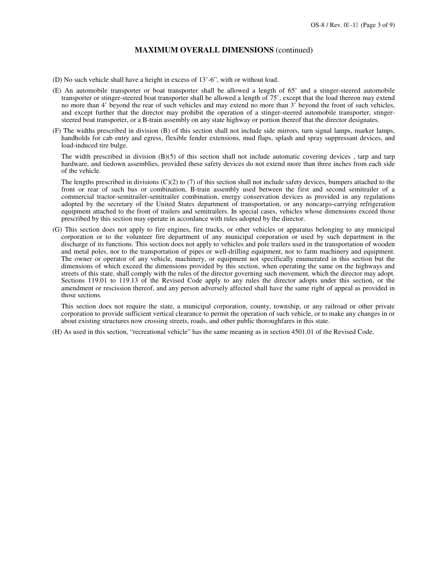#### **MAXIMUM OVERALL DIMENSIONS** (continued)

- (D) No such vehicle shall have a height in excess of 13'-6", with or without load.
- (E) An automobile transporter or boat transporter shall be allowed a length of 65' and a stinger-steered automobile transporter or stinger-steered boat transporter shall be allowed a length of 75', except that the load thereon may extend no more than 4' beyond the rear of such vehicles and may extend no more than 3' beyond the front of such vehicles, and except further that the director may prohibit the operation of a stinger-steered automobile transporter, stingersteered boat transporter, or a B-train assembly on any state highway or portion thereof that the director designates.
- (F) The widths prescribed in division (B) of this section shall not include side mirrors, turn signal lamps, marker lamps, handholds for cab entry and egress, flexible fender extensions, mud flaps, splash and spray suppressant devices, and load-induced tire bulge.

The width prescribed in division  $(B)(5)$  of this section shall not include automatic covering devices, tarp and tarp hardware, and tiedown assemblies, provided these safety devices do not extend more than three inches from each side of the vehicle.

The lengths prescribed in divisions  $(C)(2)$  to  $(7)$  of this section shall not include safety devices, bumpers attached to the front or rear of such bus or combination, B-train assembly used between the first and second semitrailer of a commercial tractor-semitrailer-semitrailer combination, energy conservation devices as provided in any regulations adopted by the secretary of the United States department of transportation, or any noncargo-carrying refrigeration equipment attached to the front of trailers and semitrailers. In special cases, vehicles whose dimensions exceed those prescribed by this section may operate in accordance with rules adopted by the director.

(G) This section does not apply to fire engines, fire trucks, or other vehicles or apparatus belonging to any municipal corporation or to the volunteer fire department of any municipal corporation or used by such department in the discharge of its functions. This section does not apply to vehicles and pole trailers used in the transportation of wooden and metal poles, nor to the transportation of pipes or well-drilling equipment, nor to farm machinery and equipment. The owner or operator of any vehicle, machinery, or equipment not specifically enumerated in this section but the dimensions of which exceed the dimensions provided by this section, when operating the same on the highways and streets of this state, shall comply with the rules of the director governing such movement, which the director may adopt. Sections 119.01 to 119.13 of the Revised Code apply to any rules the director adopts under this section, or the amendment or rescission thereof, and any person adversely affected shall have the same right of appeal as provided in those sections.

This section does not require the state, a municipal corporation, county, township, or any railroad or other private corporation to provide sufficient vertical clearance to permit the operation of such vehicle, or to make any changes in or about existing structures now crossing streets, roads, and other public thoroughfares in this state.

(H) As used in this section, "recreational vehicle" has the same meaning as in section 4501.01 of the Revised Code.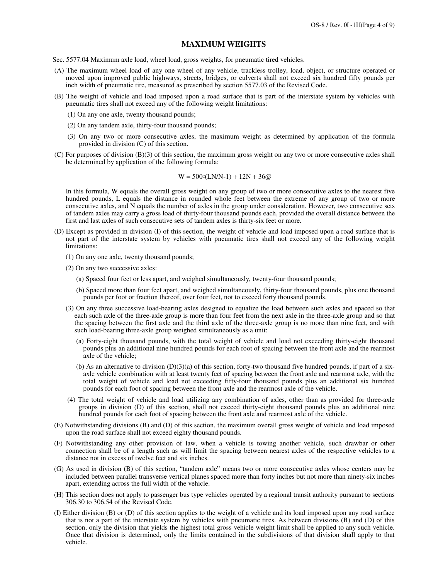#### **MAXIMUM WEIGHTS**

- Sec. 5577.04 Maximum axle load, wheel load, gross weights, for pneumatic tired vehicles.
- (A) The maximum wheel load of any one wheel of any vehicle, trackless trolley, load, object, or structure operated or moved upon improved public highways, streets, bridges, or culverts shall not exceed six hundred fifty pounds per inch width of pneumatic tire, measured as prescribed by section 5577.03 of the Revised Code.
- (B) The weight of vehicle and load imposed upon a road surface that is part of the interstate system by vehicles with pneumatic tires shall not exceed any of the following weight limitations:
	- (1) On any one axle, twenty thousand pounds;
	- (2) On any tandem axle, thirty-four thousand pounds;
	- (3) On any two or more consecutive axles, the maximum weight as determined by application of the formula provided in division (C) of this section.
- (C) For purposes of division (B)(3) of this section, the maximum gross weight on any two or more consecutive axles shall be determined by application of the following formula:

$$
W = 500(LN/N-1) + 12N + 36.
$$

In this formula, W equals the overall gross weight on any group of two or more consecutive axles to the nearest five hundred pounds, L equals the distance in rounded whole feet between the extreme of any group of two or more consecutive axles, and N equals the number of axles in the group under consideration. However, two consecutive sets of tandem axles may carry a gross load of thirty-four thousand pounds each, provided the overall distance between the first and last axles of such consecutive sets of tandem axles is thirty-six feet or more.

- (D) Except as provided in division (I) of this section, the weight of vehicle and load imposed upon a road surface that is not part of the interstate system by vehicles with pneumatic tires shall not exceed any of the following weight limitations:
	- (1) On any one axle, twenty thousand pounds;
	- (2) On any two successive axles:
		- (a) Spaced four feet or less apart, and weighed simultaneously, twenty-four thousand pounds;
		- (b) Spaced more than four feet apart, and weighed simultaneously, thirty-four thousand pounds, plus one thousand pounds per foot or fraction thereof, over four feet, not to exceed forty thousand pounds.
	- (3) On any three successive load-bearing axles designed to equalize the load between such axles and spaced so that each such axle of the three-axle group is more than four feet from the next axle in the three-axle group and so that the spacing between the first axle and the third axle of the three-axle group is no more than nine feet, and with such load-bearing three-axle group weighed simultaneously as a unit:
		- (a) Forty-eight thousand pounds, with the total weight of vehicle and load not exceeding thirty-eight thousand pounds plus an additional nine hundred pounds for each foot of spacing between the front axle and the rearmost axle of the vehicle;
		- (b) As an alternative to division  $(D)(3)(a)$  of this section, forty-two thousand five hundred pounds, if part of a sixaxle vehicle combination with at least twenty feet of spacing between the front axle and rearmost axle, with the total weight of vehicle and load not exceeding fifty-four thousand pounds plus an additional six hundred pounds for each foot of spacing between the front axle and the rearmost axle of the vehicle.
	- (4) The total weight of vehicle and load utilizing any combination of axles, other than as provided for three-axle groups in division (D) of this section, shall not exceed thirty-eight thousand pounds plus an additional nine hundred pounds for each foot of spacing between the front axle and rearmost axle of the vehicle.
- (E) Notwithstanding divisions (B) and (D) of this section, the maximum overall gross weight of vehicle and load imposed upon the road surface shall not exceed eighty thousand pounds.
- (F) Notwithstanding any other provision of law, when a vehicle is towing another vehicle, such drawbar or other connection shall be of a length such as will limit the spacing between nearest axles of the respective vehicles to a distance not in excess of twelve feet and six inches.
- (G) As used in division (B) of this section, "tandem axle" means two or more consecutive axles whose centers may be included between parallel transverse vertical planes spaced more than forty inches but not more than ninety-six inches apart, extending across the full width of the vehicle.
- (H) This section does not apply to passenger bus type vehicles operated by a regional transit authority pursuant to sections 306.30 to 306.54 of the Revised Code.
- (I) Either division (B) or (D) of this section applies to the weight of a vehicle and its load imposed upon any road surface that is not a part of the interstate system by vehicles with pneumatic tires. As between divisions (B) and (D) of this section, only the division that yields the highest total gross vehicle weight limit shall be applied to any such vehicle. Once that division is determined, only the limits contained in the subdivisions of that division shall apply to that vehicle.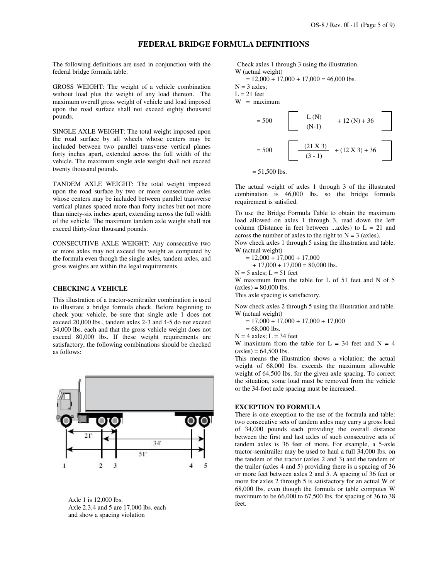#### **FEDERAL BRIDGE FORMULA DEFINITIONS**

The following definitions are used in conjunction with the federal bridge formula table.

GROSS WEIGHT: The weight of a vehicle combination without load plus the weight of any load thereon. The maximum overall gross weight of vehicle and load imposed upon the road surface shall not exceed eighty thousand pounds.

SINGLE AXLE WEIGHT: The total weight imposed upon the road surface by all wheels whose centers may be included between two parallel transverse vertical planes forty inches apart, extended across the full width of the vehicle. The maximum single axle weight shall not exceed twenty thousand pounds.

TANDEM AXLE WEIGHT: The total weight imposed upon the road surface by two or more consecutive axles whose centers may be included between parallel transverse vertical planes spaced more than forty inches but not more than ninety-six inches apart, extending across the full width of the vehicle. The maximum tandem axle weight shall not exceed thirty-four thousand pounds.

CONSECUTIVE AXLE WEIGHT: Any consecutive two or more axles may not exceed the weight as computed by the formula even though the single axles, tandem axles, and gross weights are within the legal requirements.

#### **CHECKING A VEHICLE**

This illustration of a tractor-semitrailer combination is used to illustrate a bridge formula check. Before beginning to check your vehicle, be sure that single axle 1 does not exceed 20,000 lbs., tandem axles 2-3 and 4-5 do not exceed 34,000 lbs. each and that the gross vehicle weight does not exceed 80,000 lbs. If these weight requirements are satisfactory, the following combinations should be checked as follows:



Axle 1 is 12,000 lbs. Axle 2,3,4 and 5 are 17,000 lbs. each and show a spacing violation

Check axles 1 through 3 using the illustration. W (actual weight)

$$
= 12,000 + 17,000 + 17,000 = 46,000
$$
 lbs.

 $N = 3$  axles;

 $L = 21$  feet

W = maximum



 $= 51,500$  lbs.

The actual weight of axles 1 through 3 of the illustrated combination is 46,000 lbs. so the bridge formula requirement is satisfied.

To use the Bridge Formula Table to obtain the maximum load allowed on axles 1 through 3, read down the left column (Distance in feet between ...axles) to  $L = 21$  and across the number of axles to the right to  $N = 3$  (axles).

Now check axles 1 through 5 using the illustration and table. W (actual weight)

 $= 12,000 + 17,000 + 17,000$ 

 $+ 17,000 + 17,000 = 80,000$  lbs.

 $N = 5$  axles;  $L = 51$  feet

W maximum from the table for L of 51 feet and N of 5  $(axles) = 80,000$  lbs.

This axle spacing is satisfactory.

Now check axles 2 through 5 using the illustration and table. W (actual weight)

 $= 17,000 + 17,000 + 17,000 + 17,000$ 

$$
= 68,000
$$
 lbs.

 $N = 4$  axles;  $L = 34$  feet

W maximum from the table for  $L = 34$  feet and  $N = 4$  $(axles) = 64,500$  lbs.

This means the illustration shows a violation; the actual weight of 68,000 lbs. exceeds the maximum allowable weight of 64,500 lbs. for the given axle spacing. To correct the situation, some load must be removed from the vehicle or the 34-foot axle spacing must be increased.

#### **EXCEPTION TO FORMULA**

There is one exception to the use of the formula and table: two consecutive sets of tandem axles may carry a gross load of 34,000 pounds each providing the overall distance between the first and last axles of such consecutive sets of tandem axles is 36 feet of more. For example, a 5-axle tractor-semitrailer may be used to haul a full 34,000 lbs. on the tandem of the tractor (axles 2 and 3) and the tandem of the trailer (axles 4 and 5) providing there is a spacing of 36 or more feet between axles 2 and 5. A spacing of 36 feet or more for axles 2 through 5 is satisfactory for an actual W of 68,000 lbs. even though the formula or table computes W maximum to be 66,000 to 67,500 lbs. for spacing of 36 to 38 feet.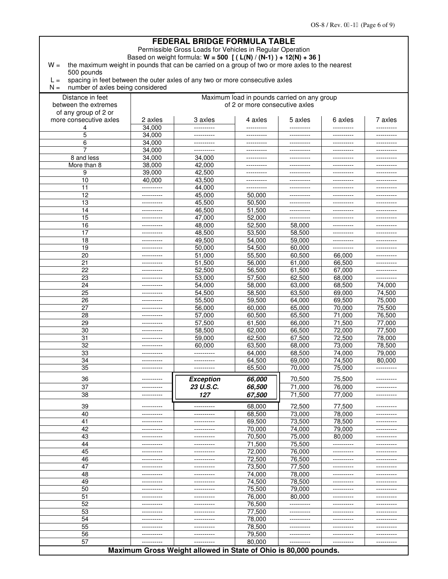#### **FEDERAL BRIDGE FORMULA TABLE**  Permissible Gross Loads for Vehicles in Regular Operation Based on weight formula: **W = 500 [ ( L(N) / (N-1) ) + 12(N) + 36 ]**  $W =$  the maximum weight in pounds that can be carried on a group of two or more axles to the nearest 500 pounds  $L =$  spacing in feet between the outer axles of any two or more consecutive axles  $N =$  number of axles being considered Distance in feet | Naximum load in pounds carried on any group between the extremes of 2 or more consecutive axles of any group of 2 or more consecutive axles | 2 axles | 3 axles | 4 axles | 5 axles | 6 axles | 7 axles 4 34,000 ---------- ---------- ---------- ---------- ---------- 5 34,000 ---------- ---------- ---------- ---------- ---------- 6 34,000 ---------- ---------- ---------- ---------- ---------- 7 34,000 ---------- ---------- ---------- ---------- ---------- 8 and less 34,000 34,000 ---------- ---------- ---------- ---------- More than 8 38,000 42,000 ---------- ---------- ---------- ---------- 9 39,000 42,500 ---------- ---------- ---------- ---------- 10 40,000 43,500 ---------- ---------- ---------- ---------- 11 ---------- 44,000 ---------- ---------- ---------- ---------- 12 ---------- 45,000 50,000 ---------- ---------- ---------- 13 ---------- | 45,500 | 50,500 | --------- | ---------- | ---------14 ---------- 46,500 51,500 ---------- ---------- ---------- 15 ---------- 47,000 52,000 ---------- ---------- ---------- 16 ---------- | 48,000 | 52,500 | 58,000 | ---------- | ----------17 ---------- | 48,500 | 53,500 | 58,500 | --------- | ----------18 ---------- 49,500 54,000 59,000 ---------- ---------- 19 ---------- 50,000 54,500 60,000 ---------- ---------- 20 ---------- 51,000 55,500 60,500 66,000 ---------- 21 ---------- 51,500 56,000 61,000 66,500 ---------- 22 ---------- 52,500 56,500 61,500 67,000 ---------- 23 ---------- 53,000 57,500 62,500 68,000 ---------- 24 ---------- 54,000 58,000 63,000 68,500 74,000 25 ---------- 54,500 58,500 63,500 69,000 74,500 26 ---------- 55,500 59,500 64,000 69,500 75,000 27 ---------- 56,000 60,000 65,000 70,000 75,500 28 ---------- 57,000 60,500 65,500 71,000 76,500 29 ---------- 57,500 61,500 66,000 71,500 77,000 30 ---------- 58,500 62,000 66,500 72,000 77,500 31 ---------- 59,000 62,500 67,500 72,500 78,000 32 ---------- 60,000 63,500 68,000 73,000 78,500 33 ---------- ---------- 64,000 68,500 74,000 79,000 34 | --------- | ---------- | 64,500 | 69,000 | 74,500 | 80,000 35 ---------- ---------- 65,500 70,000 75,000 ---------- 36 ---------- *Exception 66,000* 70,500 75,500 ---------- 37 ---------- *23 U.S.C. 66,500* 71,000 76,000 ---------- 38 ---------- *127 67,500* 71,500 77,000 ---------- 39 ---------- ---------- 68,000 72,500 77,500 ---------- 40 ---------- ---------- 68,500 73,000 78,000 ---------- 41 ---------- ---------- 69,500 73,500 78,500 ---------- 42 ---------- ---------- 70,000 74,000 79,000 ---------- 43 ---------- ---------- 70,500 75,000 80,000 ---------- 44 ---------- ---------- 71,500 75,500 ---------- ---------- 45 ---------- | ----------- | 72,000 | 76,000 | ---------- | ---------46 ---------- ---------- 72,500 76,500 ---------- ---------- 47 ---------- ---------- 73,500 77,500 ---------- ---------- 48 ---------- ---------- 74,000 78,000 ---------- ---------- 49 ---------- ---------- 74,500 78,500 ---------- ---------- 50 ---------- | ----------- | 75,500 | 79,000 | ---------- | ---------51 ---------- | ---------- | 76,000 | 80,000 | ---------- | ----------52 ---------- ---------- 76,500 ---------- ---------- ---------- 53 ---------- ---------- 77,500 ---------- ---------- ---------- 54 ---------- ---------- 78,000 ---------- ---------- ---------- 55 ---------- ---------- 78,500 ---------- ---------- ---------- 56 ---------- ---------- 79,500 ---------- ---------- ---------- 57 ---------- ---------- 80,000 ---------- ---------- ----------

**Maximum Gross Weight allowed in State of Ohio is 80,000 pounds.**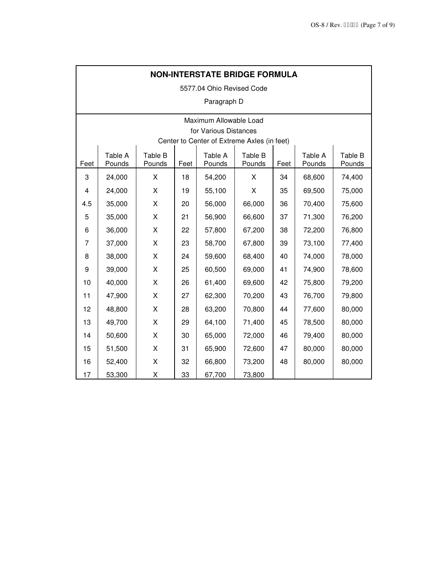| <b>NON-INTERSTATE BRIDGE FORMULA</b> |                                             |                   |      |                   |                   |      |                   |                   |  |  |  |  |
|--------------------------------------|---------------------------------------------|-------------------|------|-------------------|-------------------|------|-------------------|-------------------|--|--|--|--|
| 5577.04 Ohio Revised Code            |                                             |                   |      |                   |                   |      |                   |                   |  |  |  |  |
| Paragraph D                          |                                             |                   |      |                   |                   |      |                   |                   |  |  |  |  |
| Maximum Allowable Load               |                                             |                   |      |                   |                   |      |                   |                   |  |  |  |  |
|                                      | for Various Distances                       |                   |      |                   |                   |      |                   |                   |  |  |  |  |
|                                      | Center to Center of Extreme Axles (in feet) |                   |      |                   |                   |      |                   |                   |  |  |  |  |
| Feet                                 | Table A<br>Pounds                           | Table B<br>Pounds | Feet | Table A<br>Pounds | Table B<br>Pounds | Feet | Table A<br>Pounds | Table B<br>Pounds |  |  |  |  |
| 3                                    | 24,000                                      | X                 | 18   | 54,200            | X                 | 34   | 68,600            | 74,400            |  |  |  |  |
| 4                                    | 24,000                                      | X                 | 19   | 55,100            | X                 | 35   | 69,500            | 75,000            |  |  |  |  |
| 4.5                                  | 35,000                                      | X                 | 20   | 56,000            | 66,000            | 36   | 70,400            | 75,600            |  |  |  |  |
| 5                                    | 35,000                                      | X                 | 21   | 56,900            | 66,600            | 37   | 71,300            | 76,200            |  |  |  |  |
| 6                                    | 36,000                                      | X                 | 22   | 57,800            | 67,200            | 38   | 72,200            | 76,800            |  |  |  |  |
| 7                                    | 37,000                                      | X                 | 23   | 58,700            | 67,800            | 39   | 73,100            | 77,400            |  |  |  |  |
| 8                                    | 38,000                                      | Χ                 | 24   | 59,600            | 68,400            | 40   | 74,000            | 78,000            |  |  |  |  |
| 9                                    | 39,000                                      | X                 | 25   | 60,500            | 69,000            | 41   | 74,900            | 78,600            |  |  |  |  |
| 10                                   | 40,000                                      | X                 | 26   | 61,400            | 69,600            | 42   | 75,800            | 79,200            |  |  |  |  |
| 11                                   | 47,900                                      | X                 | 27   | 62,300            | 70,200            | 43   | 76,700            | 79,800            |  |  |  |  |
| 12                                   | 48,800                                      | X                 | 28   | 63,200            | 70,800            | 44   | 77,600            | 80,000            |  |  |  |  |
| 13                                   | 49,700                                      | X                 | 29   | 64,100            | 71,400            | 45   | 78,500            | 80,000            |  |  |  |  |
| 14                                   | 50,600                                      | X                 | 30   | 65,000            | 72,000            | 46   | 79,400            | 80,000            |  |  |  |  |
| 15                                   | 51,500                                      | X                 | 31   | 65,900            | 72,600            | 47   | 80,000            | 80,000            |  |  |  |  |
| 16                                   | 52,400                                      | X                 | 32   | 66,800            | 73,200            | 48   | 80,000            | 80,000            |  |  |  |  |
| 17                                   | 53,300                                      | X                 | 33   | 67,700            | 73,800            |      |                   |                   |  |  |  |  |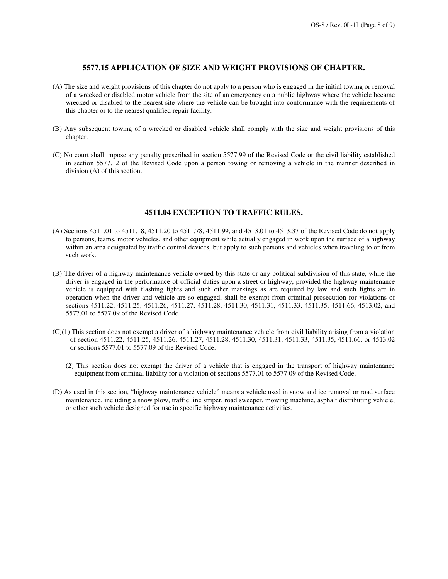### **5577.15 APPLICATION OF SIZE AND WEIGHT PROVISIONS OF CHAPTER.**

- (A) The size and weight provisions of this chapter do not apply to a person who is engaged in the initial towing or removal of a wrecked or disabled motor vehicle from the site of an emergency on a public highway where the vehicle became wrecked or disabled to the nearest site where the vehicle can be brought into conformance with the requirements of this chapter or to the nearest qualified repair facility.
- (B) Any subsequent towing of a wrecked or disabled vehicle shall comply with the size and weight provisions of this chapter.
- (C) No court shall impose any penalty prescribed in section 5577.99 of the Revised Code or the civil liability established in section 5577.12 of the Revised Code upon a person towing or removing a vehicle in the manner described in division (A) of this section.

#### **4511.04 EXCEPTION TO TRAFFIC RULES.**

- (A) Sections 4511.01 to 4511.18, 4511.20 to 4511.78, 4511.99, and 4513.01 to 4513.37 of the Revised Code do not apply to persons, teams, motor vehicles, and other equipment while actually engaged in work upon the surface of a highway within an area designated by traffic control devices, but apply to such persons and vehicles when traveling to or from such work.
- (B) The driver of a highway maintenance vehicle owned by this state or any political subdivision of this state, while the driver is engaged in the performance of official duties upon a street or highway, provided the highway maintenance vehicle is equipped with flashing lights and such other markings as are required by law and such lights are in operation when the driver and vehicle are so engaged, shall be exempt from criminal prosecution for violations of sections 4511.22, 4511.25, 4511.26, 4511.27, 4511.28, 4511.30, 4511.31, 4511.33, 4511.35, 4511.66, 4513.02, and 5577.01 to 5577.09 of the Revised Code.
- (C)(1) This section does not exempt a driver of a highway maintenance vehicle from civil liability arising from a violation of section 4511.22, 4511.25, 4511.26, 4511.27, 4511.28, 4511.30, 4511.31, 4511.33, 4511.35, 4511.66, or 4513.02 or sections 5577.01 to 5577.09 of the Revised Code.
	- (2) This section does not exempt the driver of a vehicle that is engaged in the transport of highway maintenance equipment from criminal liability for a violation of sections 5577.01 to 5577.09 of the Revised Code.
- (D) As used in this section, "highway maintenance vehicle" means a vehicle used in snow and ice removal or road surface maintenance, including a snow plow, traffic line striper, road sweeper, mowing machine, asphalt distributing vehicle, or other such vehicle designed for use in specific highway maintenance activities.